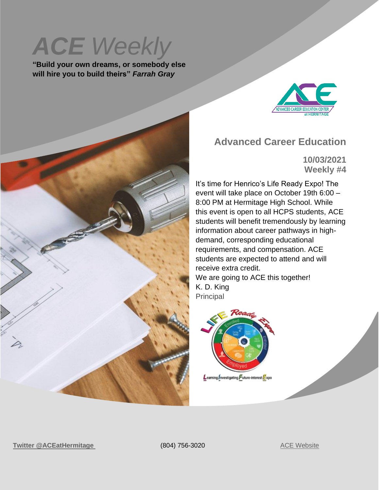# **ACE** Weekly

**"Build your own dreams, or somebody else will hire you to build theirs"** *Farrah Gray*



#### **Advanced Career Education**

**10/03/2021 Weekly #4**

It's time for Henrico's Life Ready Expo! The event will take place on October 19th 6:00 – 8:00 PM at Hermitage High School. While this event is open to all HCPS students, ACE students will benefit tremendously by learning information about career pathways in highdemand, corresponding educational requirements, and compensation. ACE students are expected to attend and will receive extra credit. We are going to ACE this together! K. D. King Principal



**Twitter** [@ACEatHermitage](https://twitter.com/ACEatHermitage?ref_src=twsrc%5Egoogle%7Ctwcamp%5Eserp%7Ctwgr%5Eauthor) (804) 756-3020 [ACE Website](https://acecenterathermitage.henricoschools.us/)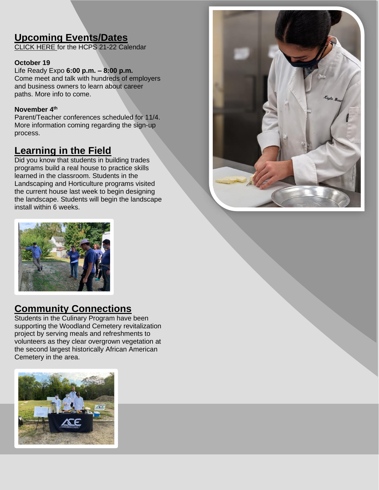## **Upcoming Events/Dates**

[CLICK HERE f](http://track.spe.schoolmessenger.com/f/a/xwNFdIS3OBonMf9XwdbnBQ~~/AAAAAQA~/RgRjHicOP0RNaHR0cHM6Ly9oZW5yaWNvc2Nob29scy51cy93cC1jb250ZW50L3VwbG9hZHMvSENQUy1TY2hvb2wtQ2FsZW5kYXItMjAyMS0yMi5wZGZXB3NjaG9vbG1CCmE4jvM8Ycm9hsxSGGtka2luZ0BoZW5yaWNvLmsxMi52YS51c1gEAAAAAQ~~)or the HCPS 21-22 Calendar

#### **October 19**

Life Ready Expo **6:00 p.m. – 8:00 p.m.** Come meet and talk with hundreds of employers and business owners to learn about career paths. More info to come.

#### **November 4 th**

Parent/Teacher conferences scheduled for 11/4. More information coming regarding the sign-up process.

#### **Learning in the Field**

Did you know that students in building trades programs build a real house to practice skills learned in the classroom. Students in the Landscaping and Horticulture programs visited the current house last week to begin designing the landscape. Students will begin the landscape install within 6 weeks.





#### **Community Connections**

Students in the Culinary Program have been supporting the Woodland Cemetery revitalization project by serving meals and refreshments to volunteers as they clear overgrown vegetation at the second largest historically African American Cemetery in the area.

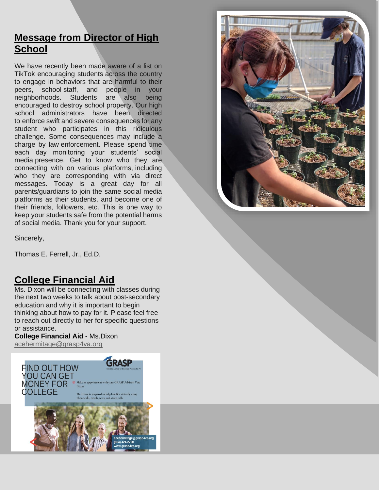#### **Message from Director of High School**

We have recently been made aware of a list on TikTok encouraging students across the country to engage in behaviors that are harmful to their peers, school-staff, and people in your<br>neighborhoods. Students are also being neighborhoods. Students are also being encouraged to destroy school property. Our high school administrators have been directed to enforce swift and severe consequences for any student who participates in this ridiculous challenge. Some consequences may include a charge by law enforcement. Please spend time each day monitoring your students' social media presence. Get to know who they are connecting with on various platforms, including who they are corresponding with via direct messages. Today is a great day for all parents/guardians to join the same social media platforms as their students, and become one of their friends, followers, etc. This is one way to keep your students safe from the potential harms of social media. Thank you for your support.



Sincerely,

Thomas E. Ferrell, Jr., Ed.D.

#### **College Financial Aid**

Ms. Dixon will be connecting with classes during the next two weeks to talk about post-secondary education and why it is important to begin thinking about how to pay for it. Please feel free to reach out directly to her for specific questions or assistance.

#### **College Financial Aid -** Ms.Dixon

[acehermitage@grasp4va.org](mailto:acehermitage@grasp4va.org)

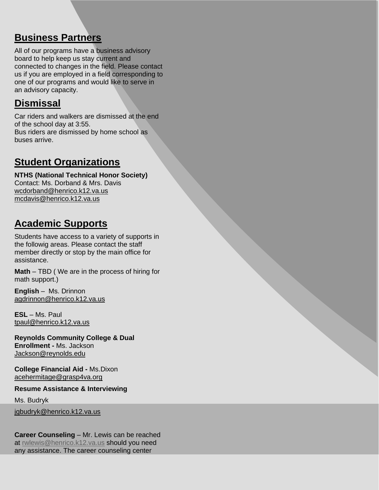#### **Business Partners**

All of our programs have a business advisory board to help keep us stay current and connected to changes in the field. Please contact us if you are employed in a field corresponding to one of our programs and would like to serve in an advisory capacity.

#### **Dismissal**

Car riders and walkers are dismissed at the end of the school day at 3:55. Bus riders are dismissed by home school as buses arrive.

#### **Student Organizations**

**NTHS (National Technical Honor Society)** Contact: Ms. Dorband & Mrs. Davis [wcdorband@henrico.k12.va.us](mailto:wcdorband@henrico.k12.va.us) [mcdavis@henrico.k12.va.us](mailto:mcdavis@henrico.k12.va.us)

## **Academic Supports**

Students have access to a variety of supports in the followig areas. Please contact the staff member directly or stop by the main office for assistance.

**Math** – TBD ( We are in the process of hiring for math support.)

**English** – Ms. Drinnon [agdrinnon@henrico.k12.va.us](mailto:agdrinnon@henrico.k12.va.us)

**ESL** – Ms. Paul [tpaul@henrico.k12.va.us](mailto:tpaul@henrico.k12.va.us)

**Reynolds Community College & Dual Enrollment -** Ms. Jackson [Jackson@reynolds.edu](mailto:Jackson@reynolds.edu)

**College Financial Aid -** Ms.Dixon [acehermitage@grasp4va.org](https://hcpschools-my.sharepoint.com/personal/kdking_henrico_k12_va_us/Documents/Documents/acehermitage@grasp4va.org)

**Resume Assistance & Interviewing** 

Ms. Budryk

[jgbudryk@henrico.k12.va.us](mailto:jgbudryk@henrico.k12.va.us)

**Career Counseling** – Mr. Lewis can be reached at [rwlewis@henrico.k12.va.us](mailto:rwlewis@henrico.k12.va.us) should you need any assistance. The career counseling center